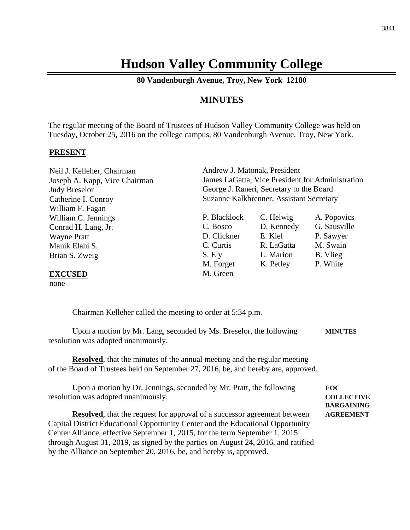# **Hudson Valley Community College**

**80 Vandenburgh Avenue, Troy, New York 12180**

# **MINUTES**

The regular meeting of the Board of Trustees of Hudson Valley Community College was held on Tuesday, October 25, 2016 on the college campus, 80 Vandenburgh Avenue, Troy, New York.

#### **PRESENT**

| Neil J. Kelleher, Chairman    | Andrew J. Matonak, President                     |            |              |
|-------------------------------|--------------------------------------------------|------------|--------------|
| Joseph A. Kapp, Vice Chairman | James LaGatta, Vice President for Administration |            |              |
| <b>Judy Breselor</b>          | George J. Raneri, Secretary to the Board         |            |              |
| Catherine I. Conroy           | Suzanne Kalkbrenner, Assistant Secretary         |            |              |
| William F. Fagan              |                                                  |            |              |
| William C. Jennings           | P. Blacklock                                     | C. Helwig  | A. Popovics  |
| Conrad H. Lang, Jr.           | C. Bosco                                         | D. Kennedy | G. Sausville |
| <b>Wayne Pratt</b>            | D. Clickner                                      | E. Kiel    | P. Sawyer    |
| Manik Elahi S.                | C. Curtis                                        | R. LaGatta | M. Swain     |
| Brian S. Zweig                | S. Ely                                           | L. Marion  | B. Vlieg     |
|                               | M. Forget                                        | K. Petley  | P. White     |
| <b>EXCUSED</b>                | M. Green                                         |            |              |

none

Chairman Kelleher called the meeting to order at 5:34 p.m.

Upon a motion by Mr. Lang, seconded by Ms. Breselor, the following **MINUTES** resolution was adopted unanimously.

**Resolved**, that the minutes of the annual meeting and the regular meeting of the Board of Trustees held on September 27, 2016, be, and hereby are, approved.

Upon a motion by Dr. Jennings, seconded by Mr. Pratt, the following **EOC** resolution was adopted unanimously. **COLLECTIVE**

**Resolved**, that the request for approval of a successor agreement between **AGREEMENT** Capital District Educational Opportunity Center and the Educational Opportunity Center Alliance, effective September 1, 2015, for the term September 1, 2015 through August 31, 2019, as signed by the parties on August 24, 2016, and ratified by the Alliance on September 20, 2016, be, and hereby is, approved.

**BARGAINING**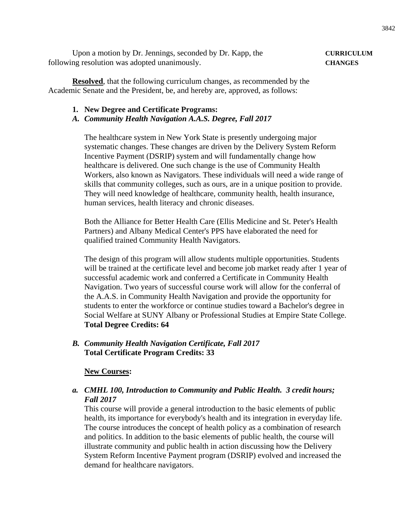**Resolved**, that the following curriculum changes, as recommended by the Academic Senate and the President, be, and hereby are, approved, as follows:

#### **1. New Degree and Certificate Programs:**

#### *A. Community Health Navigation A.A.S. Degree, Fall 2017*

The healthcare system in New York State is presently undergoing major systematic changes. These changes are driven by the Delivery System Reform Incentive Payment (DSRIP) system and will fundamentally change how healthcare is delivered. One such change is the use of Community Health Workers, also known as Navigators. These individuals will need a wide range of skills that community colleges, such as ours, are in a unique position to provide. They will need knowledge of healthcare, community health, health insurance, human services, health literacy and chronic diseases.

Both the Alliance for Better Health Care (Ellis Medicine and St. Peter's Health Partners) and Albany Medical Center's PPS have elaborated the need for qualified trained Community Health Navigators.

The design of this program will allow students multiple opportunities. Students will be trained at the certificate level and become job market ready after 1 year of successful academic work and conferred a Certificate in Community Health Navigation. Two years of successful course work will allow for the conferral of the A.A.S. in Community Health Navigation and provide the opportunity for students to enter the workforce or continue studies toward a Bachelor's degree in Social Welfare at SUNY Albany or Professional Studies at Empire State College. **Total Degree Credits: 64**

*B. Community Health Navigation Certificate, Fall 2017* **Total Certificate Program Credits: 33**

#### **New Courses:**

#### *a. CMHL 100, Introduction to Community and Public Health. 3 credit hours; Fall 2017*

This course will provide a general introduction to the basic elements of public health, its importance for everybody's health and its integration in everyday life. The course introduces the concept of health policy as a combination of research and politics. In addition to the basic elements of public health, the course will illustrate community and public health in action discussing how the Delivery System Reform Incentive Payment program (DSRIP) evolved and increased the demand for healthcare navigators.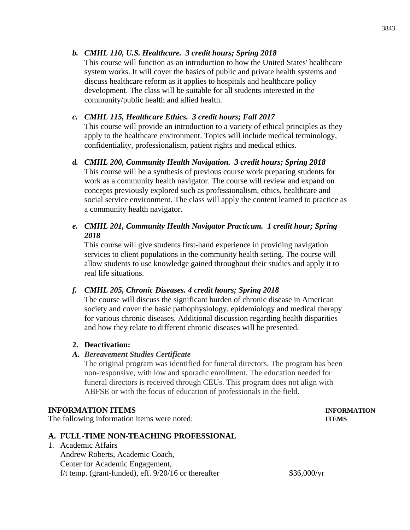#### *b. CMHL 110, U.S. Healthcare. 3 credit hours; Spring 2018*

This course will function as an introduction to how the United States' healthcare system works. It will cover the basics of public and private health systems and discuss healthcare reform as it applies to hospitals and healthcare policy development. The class will be suitable for all students interested in the community/public health and allied health.

## *c. CMHL 115, Healthcare Ethics. 3 credit hours; Fall 2017*

This course will provide an introduction to a variety of ethical principles as they apply to the healthcare environment. Topics will include medical terminology, confidentiality, professionalism, patient rights and medical ethics.

### *d. CMHL 200, Community Health Navigation. 3 credit hours; Spring 2018*

This course will be a synthesis of previous course work preparing students for work as a community health navigator. The course will review and expand on concepts previously explored such as professionalism, ethics, healthcare and social service environment. The class will apply the content learned to practice as a community health navigator.

### *e. CMHL 201, Community Health Navigator Practicum. 1 credit hour; Spring 2018*

This course will give students first-hand experience in providing navigation services to client populations in the community health setting. The course will allow students to use knowledge gained throughout their studies and apply it to real life situations.

### *f. CMHL 205, Chronic Diseases. 4 credit hours; Spring 2018*

The course will discuss the significant burden of chronic disease in American society and cover the basic pathophysiology, epidemiology and medical therapy for various chronic diseases. Additional discussion regarding health disparities and how they relate to different chronic diseases will be presented.

### **2. Deactivation:**

#### *A. Bereavement Studies Certificate*

The original program was identified for funeral directors. The program has been non-responsive, with low and sporadic enrollment. The education needed for funeral directors is received through CEUs. This program does not align with ABFSE or with the focus of education of professionals in the field.

#### **INFORMATION ITEMS INFORMATION**

The following information items were noted: **ITEMS**

### **A. FULL-TIME NON-TEACHING PROFESSIONAL**

1. Academic Affairs

Andrew Roberts, Academic Coach, Center for Academic Engagement, f/t temp. (grant-funded), eff.  $9/20/16$  or thereafter \$36,000/yr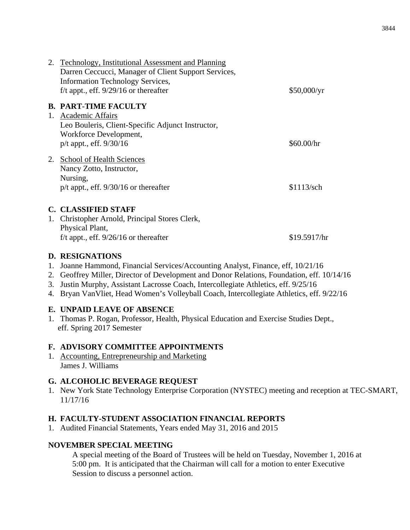|    | 2. Technology, Institutional Assessment and Planning<br>Darren Ceccucci, Manager of Client Support Services,<br>Information Technology Services,<br>f/t appt., eff. $9/29/16$ or thereafter | \$50,000/yr  |
|----|---------------------------------------------------------------------------------------------------------------------------------------------------------------------------------------------|--------------|
|    | <b>B. PART-TIME FACULTY</b>                                                                                                                                                                 |              |
| 1. | Academic Affairs                                                                                                                                                                            |              |
|    | Leo Bouleris, Client-Specific Adjunct Instructor,                                                                                                                                           |              |
|    | Workforce Development,                                                                                                                                                                      |              |
|    | $p/t$ appt., eff. $9/30/16$                                                                                                                                                                 | \$60.00/hr   |
|    | 2. School of Health Sciences<br>Nancy Zotto, Instructor,<br>Nursing,<br>$p/t$ appt., eff. 9/30/16 or thereafter                                                                             | \$1113/sch   |
|    |                                                                                                                                                                                             |              |
|    | <b>C. CLASSIFIED STAFF</b>                                                                                                                                                                  |              |
|    | 1. Christopher Arnold, Principal Stores Clerk,                                                                                                                                              |              |
|    | Physical Plant,                                                                                                                                                                             |              |
|    | f/t appt., eff. $9/26/16$ or thereafter                                                                                                                                                     | \$19.5917/hr |

#### **D. RESIGNATIONS**

- 1. Joanne Hammond, Financial Services/Accounting Analyst, Finance, eff, 10/21/16
- 2. Geoffrey Miller, Director of Development and Donor Relations, Foundation, eff. 10/14/16
- 3. Justin Murphy, Assistant Lacrosse Coach, Intercollegiate Athletics, eff. 9/25/16
- 4. Bryan VanVliet, Head Women's Volleyball Coach, Intercollegiate Athletics, eff. 9/22/16

# **E. UNPAID LEAVE OF ABSENCE**

1. Thomas P. Rogan, Professor, Health, Physical Education and Exercise Studies Dept., eff. Spring 2017 Semester

# **F. ADVISORY COMMITTEE APPOINTMENTS**

1. Accounting, Entrepreneurship and Marketing James J. Williams

# **G. ALCOHOLIC BEVERAGE REQUEST**

1. New York State Technology Enterprise Corporation (NYSTEC) meeting and reception at TEC-SMART, 11/17/16

# **H. FACULTY-STUDENT ASSOCIATION FINANCIAL REPORTS**

1. Audited Financial Statements, Years ended May 31, 2016 and 2015

# **NOVEMBER SPECIAL MEETING**

A special meeting of the Board of Trustees will be held on Tuesday, November 1, 2016 at 5:00 pm. It is anticipated that the Chairman will call for a motion to enter Executive Session to discuss a personnel action.